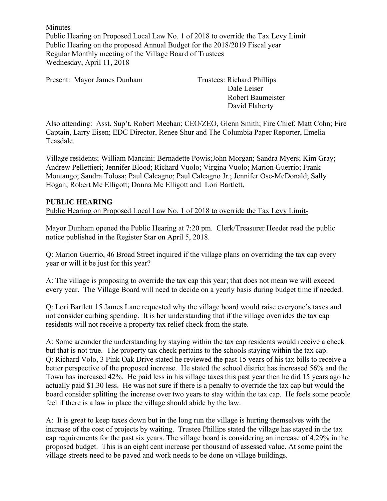Minutes Public Hearing on Proposed Local Law No. 1 of 2018 to override the Tax Levy Limit Public Hearing on the proposed Annual Budget for the 2018/2019 Fiscal year Regular Monthly meeting of the Village Board of Trustees Wednesday, April 11, 2018

Present: Mayor James Dunham Trustees: Richard Phillips

Dale Leiser Robert Baumeister David Flaherty

Also attending: Asst. Sup't, Robert Meehan; CEO/ZEO, Glenn Smith; Fire Chief, Matt Cohn; Fire Captain, Larry Eisen; EDC Director, Renee Shur and The Columbia Paper Reporter, Emelia Teasdale.

Village residents; William Mancini; Bernadette Powis;John Morgan; Sandra Myers; Kim Gray; Andrew Pellettieri; Jennifer Blood; Richard Vuolo; Virgina Vuolo; Marion Guerrio; Frank Montango; Sandra Tolosa; Paul Calcagno; Paul Calcagno Jr.; Jennifer Ose-McDonald; Sally Hogan; Robert Mc Elligott; Donna Mc Elligott and Lori Bartlett.

#### **PUBLIC HEARING**

Public Hearing on Proposed Local Law No. 1 of 2018 to override the Tax Levy Limit-

Mayor Dunham opened the Public Hearing at 7:20 pm. Clerk/Treasurer Heeder read the public notice published in the Register Star on April 5, 2018.

Q: Marion Guerrio, 46 Broad Street inquired if the village plans on overriding the tax cap every year or will it be just for this year?

A: The village is proposing to override the tax cap this year; that does not mean we will exceed every year. The Village Board will need to decide on a yearly basis during budget time if needed.

Q: Lori Bartlett 15 James Lane requested why the village board would raise everyone's taxes and not consider curbing spending. It is her understanding that if the village overrides the tax cap residents will not receive a property tax relief check from the state.

A: Some areunder the understanding by staying within the tax cap residents would receive a check but that is not true. The property tax check pertains to the schools staying within the tax cap. Q: Richard Volo, 3 Pink Oak Drive stated he reviewed the past 15 years of his tax bills to receive a better perspective of the proposed increase. He stated the school district has increased 56% and the Town has increased 42%. He paid less in his village taxes this past year then he did 15 years ago he actually paid \$1.30 less. He was not sure if there is a penalty to override the tax cap but would the board consider splitting the increase over two years to stay within the tax cap. He feels some people feel if there is a law in place the village should abide by the law.

A: It is great to keep taxes down but in the long run the village is hurting themselves with the increase of the cost of projects by waiting. Trustee Phillips stated the village has stayed in the tax cap requirements for the past six years. The village board is considering an increase of 4.29% in the proposed budget. This is an eight cent increase per thousand of assessed value. At some point the village streets need to be paved and work needs to be done on village buildings.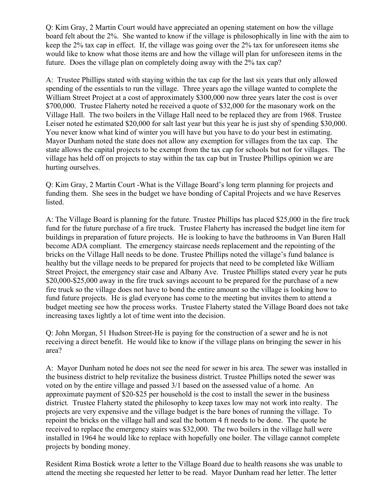Q: Kim Gray, 2 Martin Court would have appreciated an opening statement on how the village board felt about the 2%. She wanted to know if the village is philosophically in line with the aim to keep the 2% tax cap in effect. If, the village was going over the 2% tax for unforeseen items she would like to know what those items are and how the village will plan for unforeseen items in the future. Does the village plan on completely doing away with the 2% tax cap?

A: Trustee Phillips stated with staying within the tax cap for the last six years that only allowed spending of the essentials to run the village. Three years ago the village wanted to complete the William Street Project at a cost of approximately \$300,000 now three years later the cost is over \$700,000. Trustee Flaherty noted he received a quote of \$32,000 for the masonary work on the Village Hall. The two boilers in the Village Hall need to be replaced they are from 1968. Trustee Leiser noted he estimated \$20,000 for salt last year but this year he is just shy of spending \$30,000. You never know what kind of winter you will have but you have to do your best in estimating. Mayor Dunham noted the state does not allow any exemption for villages from the tax cap. The state allows the capital projects to be exempt from the tax cap for schools but not for villages. The village has held off on projects to stay within the tax cap but in Trustee Phillips opinion we are hurting ourselves.

Q: Kim Gray, 2 Martin Court -What is the Village Board's long term planning for projects and funding them. She sees in the budget we have bonding of Capital Projects and we have Reserves listed.

A: The Village Board is planning for the future. Trustee Phillips has placed \$25,000 in the fire truck fund for the future purchase of a fire truck. Trustee Flaherty has increased the budget line item for buildings in preparation of future projects. He is looking to have the bathrooms in Van Buren Hall become ADA compliant. The emergency staircase needs replacement and the repointing of the bricks on the Village Hall needs to be done. Trustee Phillips noted the village's fund balance is healthy but the village needs to be prepared for projects that need to be completed like William Street Project, the emergency stair case and Albany Ave. Trustee Phillips stated every year he puts \$20,000-\$25,000 away in the fire truck savings account to be prepared for the purchase of a new fire truck so the village does not have to bond the entire amount so the village is looking how to fund future projects. He is glad everyone has come to the meeting but invites them to attend a budget meeting see how the process works. Trustee Flaherty stated the Village Board does not take increasing taxes lightly a lot of time went into the decision.

Q: John Morgan, 51 Hudson Street-He is paying for the construction of a sewer and he is not receiving a direct benefit. He would like to know if the village plans on bringing the sewer in his area?

A: Mayor Dunham noted he does not see the need for sewer in his area. The sewer was installed in the business district to help revitalize the business district. Trustee Phillips noted the sewer was voted on by the entire village and passed 3/1 based on the assessed value of a home. An approximate payment of \$20-\$25 per household is the cost to install the sewer in the business district. Trustee Flaherty stated the philosophy to keep taxes low may not work into realty. The projects are very expensive and the village budget is the bare bones of running the village. To repoint the bricks on the village hall and seal the bottom 4 ft needs to be done. The quote he received to replace the emergency stairs was \$32,000. The two boilers in the village hall were installed in 1964 he would like to replace with hopefully one boiler. The village cannot complete projects by bonding money.

Resident Rima Bostick wrote a letter to the Village Board due to health reasons she was unable to attend the meeting she requested her letter to be read. Mayor Dunham read her letter. The letter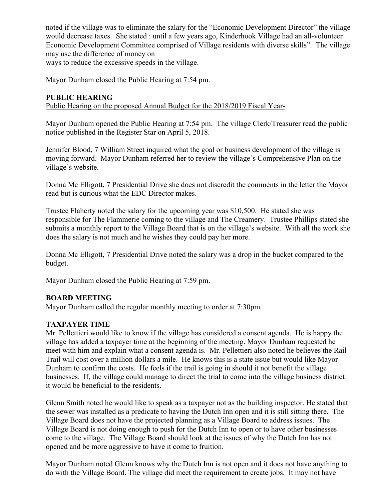noted if the village was to eliminate the salary for the "Economic Development Director" the village would decrease taxes. She stated : until a few years ago, Kinderhook Village had an all-volunteer Economic Development Committee comprised of Village residents with diverse skills". The village may use the difference of money on ways to reduce the excessive speeds in the village.

Mayor Dunham closed the Public Hearing at 7:54 pm.

#### **PUBLIC HEARING**

Public Hearing on the proposed Annual Budget for the 2018/2019 Fiscal Year-

Mayor Dunham opened the Public Hearing at 7:54 pm. The village Clerk/Treasurer read the public notice published in the Register Star on April 5, 2018.

Jennifer Blood, 7 William Street inquired what the goal or business development of the village is moving forward. Mayor Dunham referred her to review the village's Comprehensive Plan on the village's website.

Donna Mc Elligott, 7 Presidential Drive she does not discredit the comments in the letter the Mayor read but is curious what the EDC Director makes.

Trustee Flaherty noted the salary for the upcoming year was \$10,500. He stated she was responsible for The Flammerie coming to the village and The Creamery. Trustee Phillips stated she submits a monthly report to the Village Board that is on the village's website. With all the work she does the salary is not much and he wishes they could pay her more.

Donna Mc Elligott, 7 Presidential Drive noted the salary was a drop in the bucket compared to the budget.

Mayor Dunham closed the Public Hearing at 7:59 pm.

#### **BOARD MEETING**

Mayor Dunham called the regular monthly meeting to order at 7:30pm.

#### **TAXPAYER TIME**

Mr. Pellettieri would like to know if the village has considered a consent agenda. He is happy the village has added a taxpayer time at the beginning of the meeting. Mayor Dunham requested he meet with him and explain what a consent agenda is. Mr. Pellettieri also noted he believes the Rail Trail will cost over a million dollars a mile. He knows this is a state issue but would like Mayor Dunham to confirm the costs. He feels if the trail is going in should it not benefit the village businesses. If, the village could manage to direct the trial to come into the village business district it would be beneficial to the residents.

Glenn Smith noted he would like to speak as a taxpayer not as the building inspector. He stated that the sewer was installed as a predicate to having the Dutch Inn open and it is still sitting there. The Village Board does not have the projected planning as a Village Board to address issues. The Village Board is not doing enough to push for the Dutch Inn to open or to have other businesses come to the village. The Village Board should look at the issues of why the Dutch Inn has not opened and be more aggressive to have it come to fruition.

Mayor Dunham noted Glenn knows why the Dutch Inn is not open and it does not have anything to do with the Village Board. The village did meet the requirement to create jobs. It may not have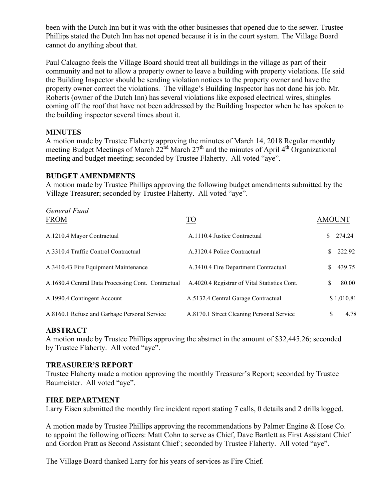been with the Dutch Inn but it was with the other businesses that opened due to the sewer. Trustee Phillips stated the Dutch Inn has not opened because it is in the court system. The Village Board cannot do anything about that.

Paul Calcagno feels the Village Board should treat all buildings in the village as part of their community and not to allow a property owner to leave a building with property violations. He said the Building Inspector should be sending violation notices to the property owner and have the property owner correct the violations. The village's Building Inspector has not done his job. Mr. Roberts (owner of the Dutch Inn) has several violations like exposed electrical wires, shingles coming off the roof that have not been addressed by the Building Inspector when he has spoken to the building inspector several times about it.

#### **MINUTES**

A motion made by Trustee Flaherty approving the minutes of March 14, 2018 Regular monthly meeting Budget Meetings of March  $22<sup>nd</sup>$  March  $27<sup>th</sup>$  and the minutes of April 4<sup>th</sup> Organizational meeting and budget meeting; seconded by Trustee Flaherty. All voted "aye".

#### **BUDGET AMENDMENTS**

A motion made by Trustee Phillips approving the following budget amendments submitted by the Village Treasurer; seconded by Trustee Flaherty. All voted "aye".

| General Fund<br><b>FROM</b>                        | TO <sub>1</sub>                              | <b>AMOUNT</b> |            |
|----------------------------------------------------|----------------------------------------------|---------------|------------|
| A.1210.4 Mayor Contractual                         | A.1110.4 Justice Contractual                 | S.            | 274.24     |
| A.3310.4 Traffic Control Contractual               | A.3120.4 Police Contractual                  |               | 222.92     |
| A.3410.43 Fire Equipment Maintenance               | A.3410.4 Fire Department Contractual         |               | 439.75     |
| A.1680.4 Central Data Processing Cont. Contractual | A.4020.4 Registrar of Vital Statistics Cont. | S.            | 80.00      |
| A.1990.4 Contingent Account                        | A.5132.4 Central Garage Contractual          |               | \$1,010.81 |
| A.8160.1 Refuse and Garbage Personal Service       | A.8170.1 Street Cleaning Personal Service    | \$            | 4.78       |

# **ABSTRACT**

A motion made by Trustee Phillips approving the abstract in the amount of \$32,445.26; seconded by Trustee Flaherty. All voted "aye".

#### **TREASURER'S REPORT**

Trustee Flaherty made a motion approving the monthly Treasurer's Report; seconded by Trustee Baumeister. All voted "aye".

# **FIRE DEPARTMENT**

Larry Eisen submitted the monthly fire incident report stating 7 calls, 0 details and 2 drills logged.

A motion made by Trustee Phillips approving the recommendations by Palmer Engine & Hose Co. to appoint the following officers: Matt Cohn to serve as Chief, Dave Bartlett as First Assistant Chief and Gordon Pratt as Second Assistant Chief ; seconded by Trustee Flaherty. All voted "aye".

The Village Board thanked Larry for his years of services as Fire Chief.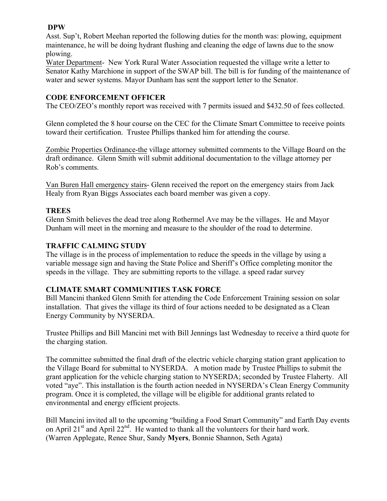#### **DPW**

Asst. Sup't, Robert Meehan reported the following duties for the month was: plowing, equipment maintenance, he will be doing hydrant flushing and cleaning the edge of lawns due to the snow plowing.

Water Department- New York Rural Water Association requested the village write a letter to Senator Kathy Marchione in support of the SWAP bill. The bill is for funding of the maintenance of water and sewer systems. Mayor Dunham has sent the support letter to the Senator.

### **CODE ENFORCEMENT OFFICER**

The CEO/ZEO's monthly report was received with 7 permits issued and \$432.50 of fees collected.

Glenn completed the 8 hour course on the CEC for the Climate Smart Committee to receive points toward their certification. Trustee Phillips thanked him for attending the course.

Zombie Properties Ordinance-the village attorney submitted comments to the Village Board on the draft ordinance. Glenn Smith will submit additional documentation to the village attorney per Rob's comments.

Van Buren Hall emergency stairs- Glenn received the report on the emergency stairs from Jack Healy from Ryan Biggs Associates each board member was given a copy.

## **TREES**

Glenn Smith believes the dead tree along Rothermel Ave may be the villages. He and Mayor Dunham will meet in the morning and measure to the shoulder of the road to determine.

## **TRAFFIC CALMING STUDY**

The village is in the process of implementation to reduce the speeds in the village by using a variable message sign and having the State Police and Sheriff's Office completing monitor the speeds in the village. They are submitting reports to the village. a speed radar survey

# **CLIMATE SMART COMMUNITIES TASK FORCE**

Bill Mancini thanked Glenn Smith for attending the Code Enforcement Training session on solar installation. That gives the village its third of four actions needed to be designated as a Clean Energy Community by NYSERDA.

Trustee Phillips and Bill Mancini met with Bill Jennings last Wednesday to receive a third quote for the charging station.

The committee submitted the final draft of the electric vehicle charging station grant application to the Village Board for submittal to NYSERDA. A motion made by Trustee Phillips to submit the grant application for the vehicle charging station to NYSERDA; seconded by Trustee Flaherty. All voted "aye". This installation is the fourth action needed in NYSERDA's Clean Energy Community program. Once it is completed, the village will be eligible for additional grants related to environmental and energy efficient projects.

Bill Mancini invited all to the upcoming "building a Food Smart Community" and Earth Day events on April  $21<sup>st</sup>$  and April  $22<sup>nd</sup>$ . He wanted to thank all the volunteers for their hard work. (Warren Applegate, Renee Shur, Sandy **Myers**, Bonnie Shannon, Seth Agata)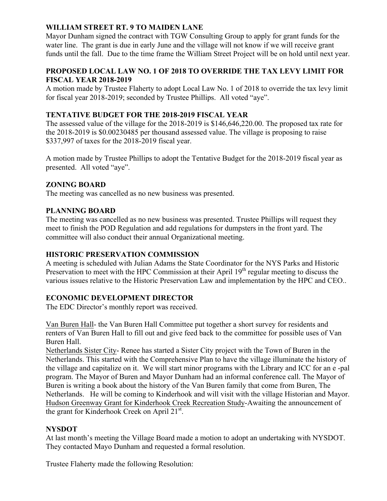# **WILLIAM STREET RT. 9 TO MAIDEN LANE**

Mayor Dunham signed the contract with TGW Consulting Group to apply for grant funds for the water line. The grant is due in early June and the village will not know if we will receive grant funds until the fall. Due to the time frame the William Street Project will be on hold until next year.

#### **PROPOSED LOCAL LAW NO. 1 OF 2018 TO OVERRIDE THE TAX LEVY LIMIT FOR FISCAL YEAR 2018-2019**

A motion made by Trustee Flaherty to adopt Local Law No. 1 of 2018 to override the tax levy limit for fiscal year 2018-2019; seconded by Trustee Phillips. All voted "aye".

## **TENTATIVE BUDGET FOR THE 2018-2019 FISCAL YEAR**

The assessed value of the village for the 2018-2019 is \$146,646,220.00. The proposed tax rate for the 2018-2019 is \$0.00230485 per thousand assessed value. The village is proposing to raise \$337,997 of taxes for the 2018-2019 fiscal year.

A motion made by Trustee Phillips to adopt the Tentative Budget for the 2018-2019 fiscal year as presented. All voted "aye".

## **ZONING BOARD**

The meeting was cancelled as no new business was presented.

#### **PLANNING BOARD**

The meeting was cancelled as no new business was presented. Trustee Phillips will request they meet to finish the POD Regulation and add regulations for dumpsters in the front yard. The committee will also conduct their annual Organizational meeting.

#### **HISTORIC PRESERVATION COMMISSION**

A meeting is scheduled with Julian Adams the State Coordinator for the NYS Parks and Historic Preservation to meet with the HPC Commission at their April 19<sup>th</sup> regular meeting to discuss the various issues relative to the Historic Preservation Law and implementation by the HPC and CEO..

#### **ECONOMIC DEVELOPMENT DIRECTOR**

The EDC Director's monthly report was received.

Van Buren Hall- the Van Buren Hall Committee put together a short survey for residents and renters of Van Buren Hall to fill out and give feed back to the committee for possible uses of Van Buren Hall.

Netherlands Sister City- Renee has started a Sister City project with the Town of Buren in the Netherlands. This started with the Comprehensive Plan to have the village illuminate the history of the village and capitalize on it. We will start minor programs with the Library and ICC for an e -pal program. The Mayor of Buren and Mayor Dunham had an informal conference call. The Mayor of Buren is writing a book about the history of the Van Buren family that come from Buren, The Netherlands. He will be coming to Kinderhook and will visit with the village Historian and Mayor. Hudson Greenway Grant for Kinderhook Creek Recreation Study-Awaiting the announcement of the grant for Kinderhook Creek on April 21<sup>st</sup>.

#### **NYSDOT**

At last month's meeting the Village Board made a motion to adopt an undertaking with NYSDOT. They contacted Mayo Dunham and requested a formal resolution.

Trustee Flaherty made the following Resolution: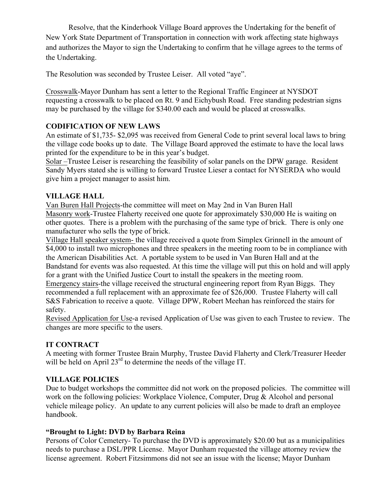Resolve, that the Kinderhook Village Board approves the Undertaking for the benefit of New York State Department of Transportation in connection with work affecting state highways and authorizes the Mayor to sign the Undertaking to confirm that he village agrees to the terms of the Undertaking.

The Resolution was seconded by Trustee Leiser. All voted "aye".

Crosswalk-Mayor Dunham has sent a letter to the Regional Traffic Engineer at NYSDOT requesting a crosswalk to be placed on Rt. 9 and Eichybush Road. Free standing pedestrian signs may be purchased by the village for \$340.00 each and would be placed at crosswalks.

# **CODIFICATION OF NEW LAWS**

An estimate of \$1,735- \$2,095 was received from General Code to print several local laws to bring the village code books up to date. The Village Board approved the estimate to have the local laws printed for the expenditure to be in this year's budget.

Solar –Trustee Leiser is researching the feasibility of solar panels on the DPW garage. Resident Sandy Myers stated she is willing to forward Trustee Lieser a contact for NYSERDA who would give him a project manager to assist him.

## **VILLAGE HALL**

Van Buren Hall Projects-the committee will meet on May 2nd in Van Buren Hall Masonry work-Trustee Flaherty received one quote for approximately \$30,000 He is waiting on other quotes. There is a problem with the purchasing of the same type of brick. There is only one manufacturer who sells the type of brick.

Village Hall speaker system- the village received a quote from Simplex Grinnell in the amount of \$4,000 to install two microphones and three speakers in the meeting room to be in compliance with the American Disabilities Act. A portable system to be used in Van Buren Hall and at the Bandstand for events was also requested. At this time the village will put this on hold and will apply for a grant with the Unified Justice Court to install the speakers in the meeting room. Emergency stairs-the village received the structural engineering report from Ryan Biggs. They

recommended a full replacement with an approximate fee of \$26,000. Trustee Flaherty will call S&S Fabrication to receive a quote. Village DPW, Robert Meehan has reinforced the stairs for safety.

Revised Application for Use-a revised Application of Use was given to each Trustee to review. The changes are more specific to the users.

# **IT CONTRACT**

A meeting with former Trustee Brain Murphy, Trustee David Flaherty and Clerk/Treasurer Heeder will be held on April 23<sup>rd</sup> to determine the needs of the village IT.

# **VILLAGE POLICIES**

Due to budget workshops the committee did not work on the proposed policies. The committee will work on the following policies: Workplace Violence, Computer, Drug & Alcohol and personal vehicle mileage policy. An update to any current policies will also be made to draft an employee handbook.

### **"Brought to Light: DVD by Barbara Reina**

Persons of Color Cemetery- To purchase the DVD is approximately \$20.00 but as a municipalities needs to purchase a DSL/PPR License. Mayor Dunham requested the village attorney review the license agreement. Robert Fitzsimmons did not see an issue with the license; Mayor Dunham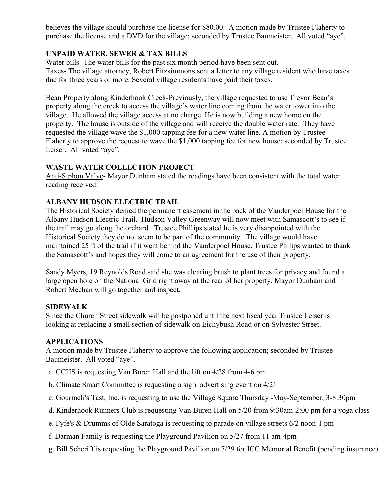believes the village should purchase the license for \$80.00. A motion made by Trustee Flaherty to purchase the license and a DVD for the village; seconded by Trustee Baumeister. All voted "aye".

# **UNPAID WATER, SEWER & TAX BILLS**

Water bills- The water bills for the past six month period have been sent out. Taxes- The village attorney, Robert Fitzsimmons sent a letter to any village resident who have taxes due for three years or more. Several village residents have paid their taxes.

Bean Property along Kinderhook Creek-Previously, the village requested to use Trevor Bean's property along the creek to access the village's water line coming from the water tower into the village. He allowed the village access at no charge. He is now building a new home on the property. The house is outside of the village and will receive the double water rate. They have requested the village wave the \$1,000 tapping fee for a new water line. A motion by Trustee Flaherty to approve the request to wave the \$1,000 tapping fee for new house; seconded by Trustee Leiser. All voted "aye".

#### **WASTE WATER COLLECTION PROJECT**

Anti-Siphon Valve- Mayor Dunham stated the readings have been consistent with the total water reading received.

## **ALBANY HUDSON ELECTRIC TRAIL**

The Historical Society denied the permanent easement in the back of the Vanderpoel House for the Albany Hudson Electric Trail. Hudson Valley Greenway will now meet with Samascott's to see if the trail may go along the orchard. Trustee Phillips stated he is very disappointed with the Historical Society they do not seem to be part of the community. The village would have maintained 25 ft of the trail if it went behind the Vanderpoel House. Trustee Philips wanted to thank the Samascott's and hopes they will come to an agreement for the use of their property.

Sandy Myers, 19 Reynolds Road said she was clearing brush to plant trees for privacy and found a large open hole on the National Grid right away at the rear of her property. Mayor Dunham and Robert Meehan will go together and inspect.

#### **SIDEWALK**

Since the Church Street sidewalk will be postponed until the next fiscal year Trustee Leiser is looking at replacing a small section of sidewalk on Eichybush Road or on Sylvester Street.

#### **APPLICATIONS**

A motion made by Trustee Flaherty to approve the following application; seconded by Trustee Baumeister. All voted "aye".

- a. CCHS is requesting Van Buren Hall and the lift on 4/28 from 4-6 pm
- b. Climate Smart Committee is requesting a sign advertising event on 4/21
- c. Gourmeli's Tast, Inc. is requesting to use the Village Square Thursday -May-September; 3-8:30pm
- d. Kinderhook Runners Club is requesting Van Buren Hall on 5/20 from 9:30am-2:00 pm for a yoga class
- e. Fyfe's & Drumms of Olde Saratoga is requesting to parade on village streets 6/2 noon-1 pm
- f. Darman Family is requesting the Playground Pavilion on 5/27 from 11 am-4pm
- g. Bill Scheriff is requesting the Playground Pavilion on 7/29 for ICC Memorial Benefit (pending insurance)